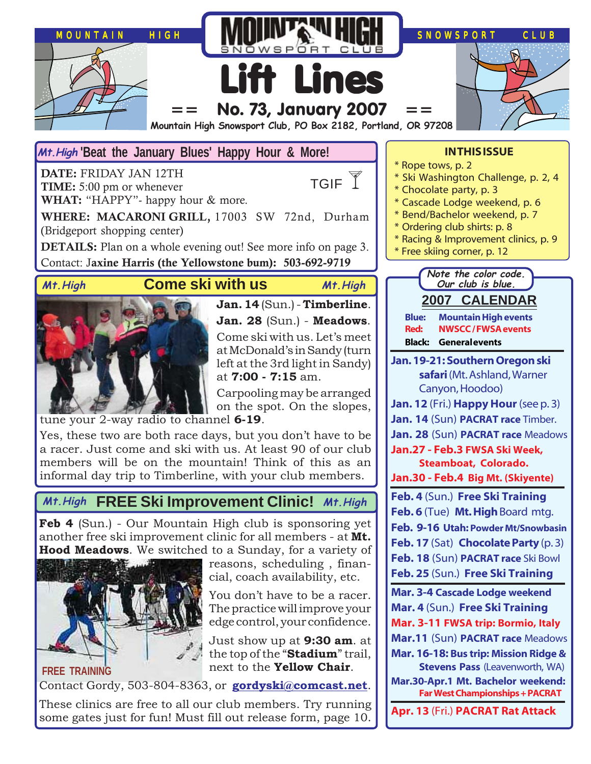

#### Mt. High 'Beat the January Blues' Happy Hour & More!

**DATE:** FRIDAY JAN 12TH **TIME:** 5:00 pm or whenever **WHAT:** "HAPPY"- happy hour & more.

TGIF<sup>Y</sup>

**WHERE: MACARONI GRILL,** 17003 SW 72nd, Durham (Bridgeport shopping center)

**DETAILS:** Plan on a whole evening out! See more info on page 3. Contact: J**axine Harris (the Yellowstone bum): 503-692-9719**

#### **Come ski with us Mt.High Mt.High**



#### **Jan. 14** (Sun.) - **Timberline**. **Jan. 28** (Sun.) - **Meadows**. Come ski with us. Let's meet at McDonald's in Sandy (turn left at the 3rd light in Sandy) at **7:00 - 7:15** am.

Carpooling may be arranged on the spot. On the slopes,

tune your 2-way radio to channel **6-19**.

Yes, these two are both race days, but you don't have to be a racer. Just come and ski with us. At least 90 of our club members will be on the mountain! Think of this as an informal day trip to Timberline, with your club members.

### **FREE Ski Improvement Clinic! Mt.High Mt.High**

**Feb 4** (Sun.) - Our Mountain High club is sponsoring yet another free ski improvement clinic for all members - at **Mt. Hood Meadows**. We switched to a Sunday, for a variety of



reasons, scheduling , financial, coach availability, etc.

You don't have to be a racer. The practice will improve your edge control, your confidence.

Just show up at **9:30 am**. at the top of the "**Stadium**" trail, next to the **Yellow Chair**.

Contact Gordy, 503-804-8363, or **[gordyski@comcast.net](mailto:gordylusk@hotmail.com)**.

These clinics are free to all our club members. Try running some gates just for fun! Must fill out release form, page 10.

#### **IN THIS ISSUE**

- \* Rope tows, p. 2
- \* Ski Washington Challenge, p. 2, 4
- \* Chocolate party, p. 3
- \* Cascade Lodge weekend, p. 6
- \* Bend/Bachelor weekend, p. 7
- \* Ordering club shirts: p. 8
- \* Racing & Improvement clinics, p. 9
- Free skiing corner, p. 12



- **Jan. 19-21: Southern Oregon ski safari** (Mt. Ashland, Warner Canyon, Hoodoo)
- **Jan. 12** (Fri.) **Happy Hour** (see p. 3)
- **Jan. 14** (Sun) **PACRAT race** Timber.
- **Jan. 28** (Sun) **PACRAT race** Meadows
- **Jan.27 Feb.3 FWSA Ski Week, Steamboat, Colorado.**
- **Jan.30 Feb.4 Big Mt. (Skiyente)**
- **Feb. 4** (Sun.) **Free Ski Training Feb. 6** (Tue) **Mt. High** Board mtg. **Feb. 9-16 Utah: Powder Mt/Snowbasin Feb. 17** (Sat) **Chocolate Party** (p. 3) **Feb. 18** (Sun) **PACRAT race** Ski Bowl **Feb. 25** (Sun.) **Free Ski Training**
- **Mar. 3-4 Cascade Lodge weekend**
- **Mar. 4** (Sun.) **Free Ski Training**
- **Mar. 3-11 FWSA trip: Bormio, Italy**
- **Mar.11** (Sun) **PACRAT race** Meadows
- **Mar. 16-18: Bus trip: Mission Ridge & Stevens Pass** (Leavenworth, WA)
- **Mar.30-Apr.1 Mt. Bachelor weekend: Far West Championships + PACRAT**

**Apr. 13** (Fri.) **PACRAT Rat Attack**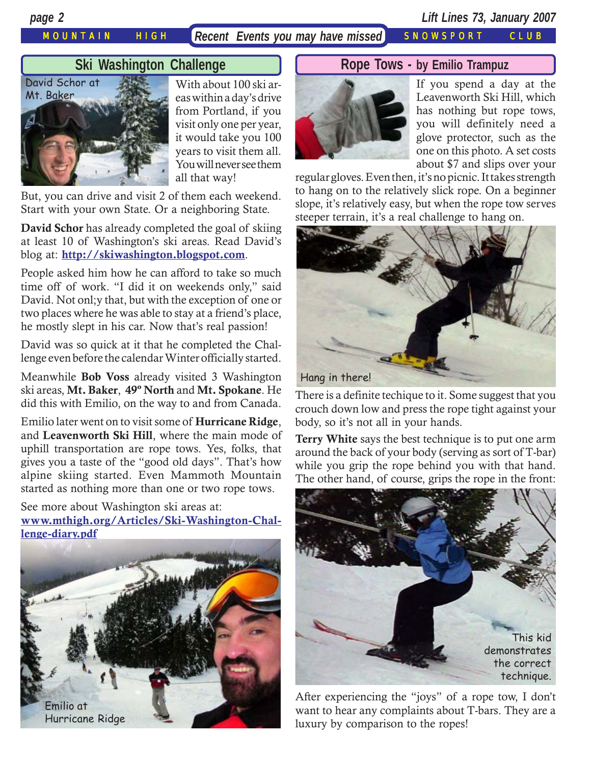MOUNTAIN HIGH *Recent Events you may have missed* SNOWSPORT CLUB

*page 2 Lift Lines 73, January 2007*

#### **Ski Washington Challenge**



With about 100 ski areas within a day's drive from Portland, if you visit only one per year, it would take you 100 years to visit them all. You will never see them all that way!

But, you can drive and visit 2 of them each weekend. Start with your own State. Or a neighboring State.

**David Schor** has already completed the goal of skiing at least 10 of Washington's ski areas. Read David's blog at: **<http://skiwashington.blogspot.com>**.

People asked him how he can afford to take so much time off of work. "I did it on weekends only," said David. Not onl;y that, but with the exception of one or two places where he was able to stay at a friend's place, he mostly slept in his car. Now that's real passion!

David was so quick at it that he completed the Challenge even before the calendar Winter officially started.

Meanwhile **Bob Voss** already visited 3 Washington ski areas, **Mt. Baker**, **49º North** and **Mt. Spokane**. He did this with Emilio, on the way to and from Canada.

Emilio later went on to visit some of **Hurricane Ridge**, and **Leavenworth Ski Hill**, where the main mode of uphill transportation are rope tows. Yes, folks, that gives you a taste of the "good old days". That's how alpine skiing started. Even Mammoth Mountain started as nothing more than one or two rope tows.

See more about Washington ski areas at: **[www.mthigh.org/Articles/Ski-Washington-Chal](http://www.mthigh.org/Articles/Ski-Washington-Challenge-diary.pdf)[lenge-diary.pdf](http://www.mthigh.org/Articles/Ski-Washington-Challenge-diary.pdf)**



#### **Rope Tows - by Emilio Trampuz**



If you spend a day at the Leavenworth Ski Hill, which has nothing but rope tows, you will definitely need a glove protector, such as the one on this photo. A set costs about \$7 and slips over your

regular gloves. Even then, it's no picnic. It takes strength to hang on to the relatively slick rope. On a beginner slope, it's relatively easy, but when the rope tow serves steeper terrain, it's a real challenge to hang on.



There is a definite techique to it. Some suggest that you crouch down low and press the rope tight against your body, so it's not all in your hands.

**Terry White** says the best technique is to put one arm around the back of your body (serving as sort of T-bar) while you grip the rope behind you with that hand. The other hand, of course, grips the rope in the front:



After experiencing the "joys" of a rope tow, I don't want to hear any complaints about T-bars. They are a luxury by comparison to the ropes!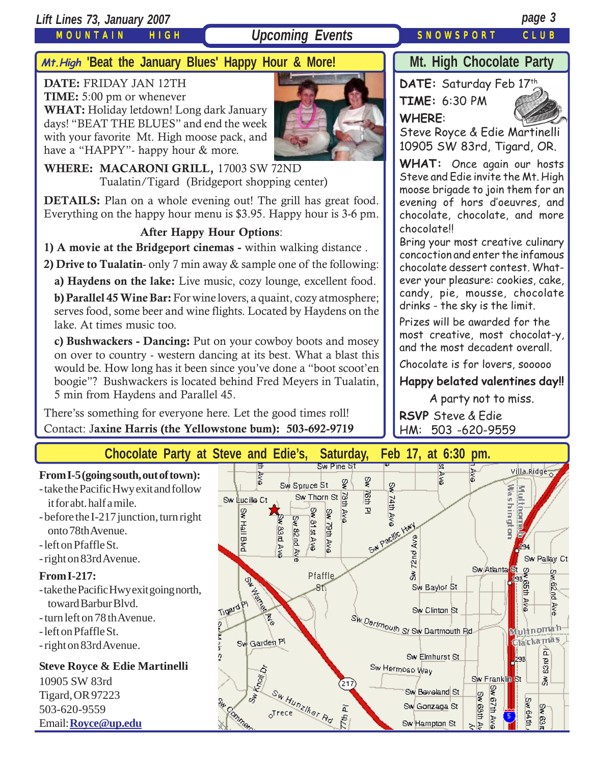#### *Lift Lines 73, January 2007 page 3*

MOUNTAIN HIGH

## **Upcoming Events** SNOWSPORT CLUB

## **Mt. High Chocolate Party**

**DATE:** FRIDAY JAN 12TH **TIME:** 5:00 pm or whenever

**WHAT:** Holiday letdown! Long dark January days! "BEAT THE BLUES" and end the week with your favorite Mt. High moose pack, and have a "HAPPY"- happy hour & more.



**WHERE: MACARONI GRILL,** 17003 SW 72ND Tualatin/Tigard (Bridgeport shopping center)

**'Beat the January Blues' Happy Hour & More! Mt.High**

**DETAILS:** Plan on a whole evening out! The grill has great food. Everything on the happy hour menu is \$3.95. Happy hour is 3-6 pm.

#### **After Happy Hour Options**:

**1) A movie at the Bridgeport cinemas -** within walking distance .

**2) Drive to Tualatin**- only 7 min away & sample one of the following:

**a) Haydens on the lake:** Live music, cozy lounge, excellent food.

**b) Parallel 45 Wine Bar:** For wine lovers, a quaint, cozy atmosphere; serves food, some beer and wine flights. Located by Haydens on the lake. At times music too.

**c) Bushwackers - Dancing:** Put on your cowboy boots and mosey on over to country - western dancing at its best. What a blast this would be. How long has it been since you've done a "boot scoot'en boogie"? Bushwackers is located behind Fred Meyers in Tualatin, 5 min from Haydens and Parallel 45.

There'ss something for everyone here. Let the good times roll! Contact: J**axine Harris (the Yellowstone bum): 503-692-9719**





**TIME:** 6:30 PM **WHERE**:



Steve Royce & Edie Martinelli 10905 SW 83rd, Tigard, OR.

**WHAT:** Once again our hosts Steve and Edie invite the Mt. High moose brigade to join them for an evening of hors d'oeuvres, and chocolate, chocolate, and more chocolate!!

Bring your most creative culinary concoction and enter the infamous chocolate dessert contest. Whatever your pleasure: cookies, cake, candy, pie, mousse, chocolate drinks - the sky is the limit.

Prizes will be awarded for the most creative, most chocolat-y, and the most decadent overall.

Chocolate is for lovers, sooooo

**Happy belated valentines day!!**

A party not to miss.

**RSVP** Steve & Edie HM: 503 -620-9559

**Chocolate Party at Steve and Edie's, Saturday, Feb 17, at 6:30 pm.**

#### **From I-5 (going south, out of town):** - take the Pacific Hwy exit and follow

- it for abt. half a mile.
- before the I-217 junction, turn right onto 78th Avenue.
- left on Pfaffle St.
- right on 83rd Avenue.

#### **From I-217:**

- take the Pacific Hwy exit going north, toward Barbur Blvd.
- turn left on 78 th Avenue.
- left on Pfaffle St.
- right on 83rd Avenue.

#### **Steve Royce & Edie Martinelli**

10905 SW 83rd Tigard, OR 97223 503-620-9559 Email: **[Royce@up.edu](mailto:Royce@up.edu)**

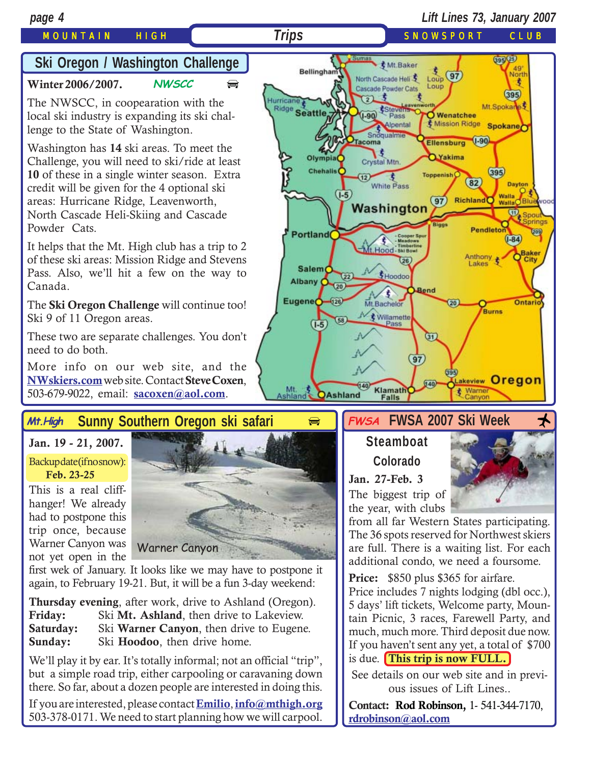### MOUNTAIN HIGH *Trips* SNOWSPORT CLUB

## **Ski Oregon / Washington Challenge**

**[Winter 2006/2007.](http://beavercreek.snow.com/winterhome.asp) NWSCC**

The NWSCC, in coopearation with the local ski industry is expanding its ski challenge to the State of Washington.

Washington has **14** ski areas. To meet the Challenge, you will need to ski/ride at least **10** of these in a single winter season. Extra credit will be given for the 4 optional ski areas: Hurricane Ridge, Leavenworth, North Cascade Heli-Skiing and Cascade Powder Cats.

It helps that the Mt. High club has a trip to 2 of these ski areas: Mission Ridge and Stevens Pass. Also, we'll hit a few on the way to Canada.

The **Ski Oregon Challenge** will continue too! Ski 9 of 11 Oregon areas.

These two are separate challenges. You don't need to do both.

More info on our web site, and the **[NWskiers.com](http://www.nwskiers.org/)** web site. Contact **Steve Coxen**, 503-679-9022, email: **[sacoxen@aol.com](mailto:sacoxen@aol.com)**.

#### **Sunny Southern Oregon ski safari Mt.High**

#### **Jan. 19 - 21, 2007.**

Backup date (if no snow):  **Feb. 23-25**

This is a real cliffhanger! We already had to postpone this trip once, because Warner Canyon was not yet open in the



 $\bigoplus$  $\bigoplus$  $\bigoplus$ 

first wek of January. It looks like we may have to postpone it again, to February 19-21. But, it will be a fun 3-day weekend:

**Thursday evening**, after work, drive to Ashland (Oregon).<br>Friday: Ski Mt. Ashland, then drive to Lakeview. Friday: Ski Mt. Ashland, then drive to Lakeview.<br>**Saturday:** Ski Warner Canvon, then drive to Eugene Ski **Warner Canyon**, then drive to Eugene. **Sunday:** Ski **Hoodoo**, then drive home.

We'll play it by ear. It's totally informal; not an official "trip", but a simple road trip, either carpooling or caravaning down there. So far, about a dozen people are interested in doing this.

If you are interested, please contact **[Emilio](mailto:Emilio2000@earthlink.net)**, **[info@mthigh.org](mailto:info@mthigh.org)** 503-378-0171. We need to start planning how we will carpool.



## $\Rightarrow$  **FWSA** FWSA 2007 Ski Week  $\rightarrow$

## **Steamboat Colorado**

**Jan. 27-Feb. 3** The biggest trip of

the year, with clubs

from all far Western States participating. The 36 spots reserved for Northwest skiers are full. There is a waiting list. For each additional condo, we need a foursome.

Price: \$850 plus \$365 for airfare. Price includes 7 nights lodging (dbl occ.), 5 days' lift tickets, Welcome party, Mountain Picnic, 3 races, Farewell Party, and much, much more. Third deposit due now. If you haven't sent any yet, a total of \$700 is due. **This trip is now FULL.**

See details on our web site and in previous issues of Lift Lines..

**Contact: Rod Robinson,** 1- 541-344-7170, **[rdrobinson@aol.com](mailto:rdrobinson@aol.com)**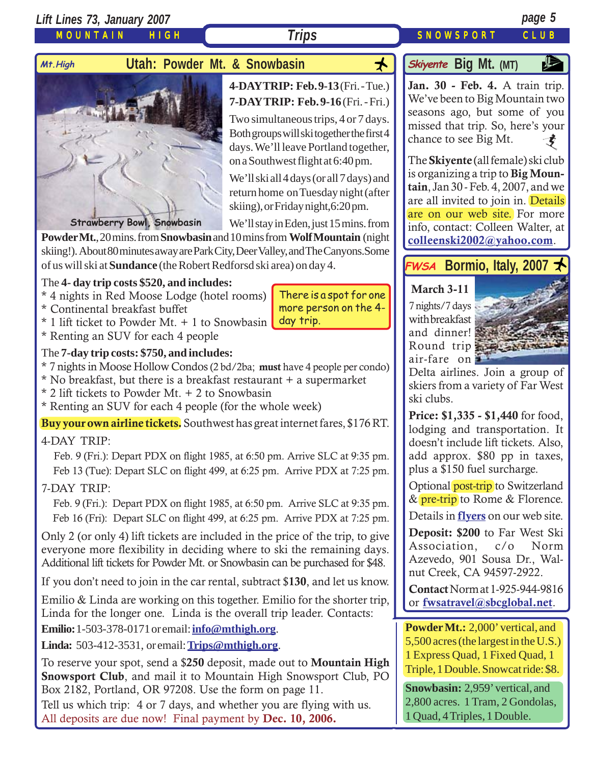*Lift Lines 73, January 2007 page 5*

MOUNTAIN HIGH

### Mt.High **Utah: Powder Mt. & Snowbasin**



#### **4-DAY TRIP: Feb. 9-13** (Fri. - Tue.) **7-DAY TRIP: Feb. 9-16** (Fri. - Fri.)

Two simultaneous trips, 4 or 7 days. Both groups will ski together the first 4 days. We'll leave Portland together, on a Southwest flight at 6:40 pm.

We'll ski all 4 days (or all 7 days) and return home on Tuesday night (after skiing), or Friday night,6:20 pm.

We'll stay in Eden, just 15 mins. from

There is a spot for one more person on the 4-

**Powder Mt.**, 20 mins. from **Snowbasin** and 10 mins from **Wolf Mountain** (night skiing!). About 80 minutes away are Park City, Deer Valley, and The Canyons.Some of us will ski at **Sundance** (the Robert Redforsd ski area) on day 4.

#### The **4- day trip costs \$520, and includes:**

- \* 4 nights in Red Moose Lodge (hotel rooms)
- \* Continental breakfast buffet
- \* 1 lift ticket to Powder Mt. + 1 to Snowbasin day trip.
- \* Renting an SUV for each 4 people

#### The **7-day trip costs: \$750, and includes:**

- \* 7 nights in Moose Hollow Condos (2 bd/2ba; **must** have 4 people per condo)
- \* No breakfast, but there is a breakfast restaurant + a supermarket
- \* 2 lift tickets to Powder Mt. + 2 to Snowbasin
- \* Renting an SUV for each 4 people (for the whole week)

**Buy your own airline tickets.** Southwest has great internet fares, \$176 RT.

#### 4-DAY TRIP:

 Feb. 9 (Fri.): Depart PDX on flight 1985, at 6:50 pm. Arrive SLC at 9:35 pm. Feb 13 (Tue): Depart SLC on flight 499, at 6:25 pm. Arrive PDX at 7:25 pm.

#### 7-DAY TRIP:

 Feb. 9 (Fri.): Depart PDX on flight 1985, at 6:50 pm. Arrive SLC at 9:35 pm. Feb 16 (Fri): Depart SLC on flight 499, at 6:25 pm. Arrive PDX at 7:25 pm.

Only 2 (or only 4) lift tickets are included in the price of the trip, to give everyone more flexibility in deciding where to ski the remaining days. Additional lift tickets for Powder Mt. or Snowbasin can be purchased for \$48.

If you don't need to join in the car rental, subtract \$**130**, and let us know.

Emilio & Linda are working on this together. Emilio for the shorter trip, Linda for the longer one. Linda is the overall trip leader. Contacts:

**Emilio:**1-503-378-0171 or email: **[info@mthigh.org](mailto:info@mthigh.org)**.

**Linda:** 503-412-3531, or email: **[Trips@mthigh.org](mailto:Trips@mthigh.org)**.

To reserve your spot, send a \$**250** deposit, made out to **Mountain High Snowsport Club**, and mail it to Mountain High Snowsport Club, PO Box 2182, Portland, OR 97208. Use the form on page 11.

Tell us which trip: 4 or 7 days, and whether you are flying with us. All deposits are due now! Final payment by **Dec. 10, 2006.**

## **Big Mt.** (MT)

**[Jan. 30 - Feb. 4.](http://beavercreek.snow.com/winterhome.asp)** A train trip. [We](http://beavercreek.snow.com/winterhome.asp)'ve been to Big Mountain two seasons ago, but some of you missed that trip. So, here's your chance to see Big Mt.  $\boldsymbol{t}$ 

The **Skiyente** (all female) ski club is organizing a trip to **Big Mountain**, Jan 30 - Feb. 4, 2007, and we are all invited to join in. Details are on our web site. For more info, contact: Colleen Walter, at **[colleenski2002@yahoo.com](mailto:colleenski2002@yahoo.com)**.

## **FWSA** Bormio, Italy, 2007

#### **March 3-11**

7 nights/7 days with breakfast and dinner! Round trip air-fare on



Delta airlines. Join a group of skiers from a variety of Far West ski clubs.

**Price: \$1,335 - \$1,440** for food, lodging and transportation. It doesn't include lift tickets. Also, add approx. \$80 pp in taxes, plus a \$150 fuel surcharge.

Optional post-trip to Switzerland & pre-trip to Rome & Florence.

Details in **[flyers](http://www.mthigh.org/Trips.htm#Bormio)** on our web site.

**Deposit: \$200** to Far West Ski Association, c/o Norm Azevedo, 901 Sousa Dr., Walnut Creek, CA 94597-2922.

**Contact** Norm at 1-925-944-9816 or **[fwsatravel@sbcglobal.net](mailto:fwsatravel@sbcglobal.net)**.

**Powder Mt.:** 2,000' vertical, and 5,500 acres (the largest in the U.S.) 1 Express Quad, 1 Fixed Quad, 1 Triple, 1 Double. Snowcat ride: \$8.

**Snowbasin:** 2,959' vertical, and 2,800 acres. 1 Tram, 2 Gondolas, 1 Quad, 4 Triples, 1 Double.

**Trips** SNOWSPORT CLUB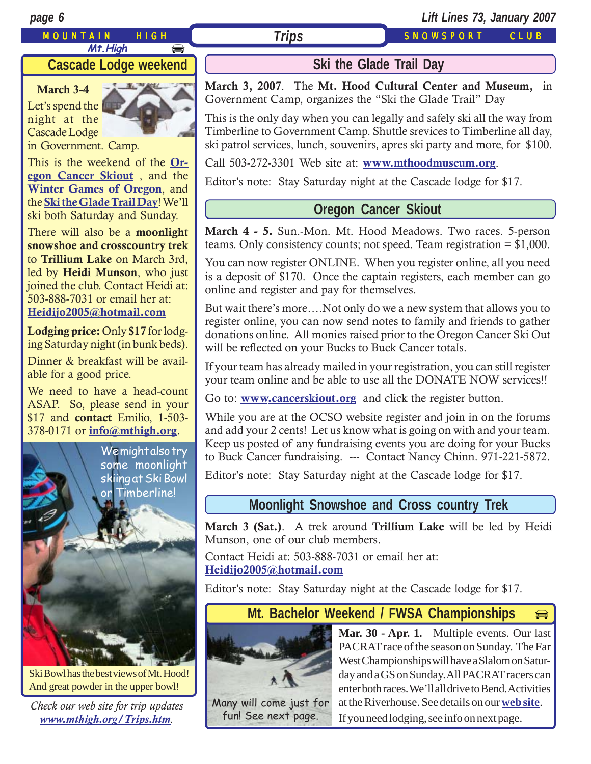#### MOUNTAIN HIGH *Trips* SNOWSPORT CLUB

*page 6 Lift Lines 73, January 2007*

#### **Cascade Lodge weekend**

**March 3-4** Let's spend the night at the Cascade Lodge

in Government. Camp.

This is the weekend of the **[Or](http://www.cancerskiout.org)[egon Cancer Skiout](http://www.cancerskiout.org)** , and the **[Winter Games of Oregon](http://www.wintergamesoforegon.com/)**, and the **[Ski the Glade Trail Day](http://www.mthoodmuseum.org/)**! We'll ski both Saturday and Sunday.

There will also be a **moonlight snowshoe and crosscountry trek** to **Trillium Lake** on March 3rd, led by **Heidi Munson**, who just joined the club. Contact Heidi at: 503-888-7031 or email her at: **[Heidijo2005@hotmail.com](mailto:Heidijo2005@hotmail.com)**

**Lodging price:** Only **\$17** for lodging Saturday night (in bunk beds).

Dinner & breakfast will be available for a good price.

We need to have a head-count ASAP. So, please send in your \$17 and **contact** Emilio, 1-503- 378-0171 or **[info@mthigh.org](mailto:info@mthigh.org)**.



Ski Bowl has the best views of Mt. Hood! And great powder in the upper bowl!

*Check our web site for trip updates [www.mthigh.org/Trips.htm](http://www.mthigh.org/Trips.htm).*

## **Ski the Glade Trail Day**

**March 3, 2007**. The **Mt. Hood Cultural Center and Museum,** in Government Camp, organizes the "Ski the Glade Trail" Day

This is the only day when you can legally and safely ski all the way from Timberline to Government Camp. Shuttle srevices to Timberline all day, ski patrol services, lunch, souvenirs, apres ski party and more, for \$100.

Call 503-272-3301 Web site at: **[www.mthoodmuseum.org](http://www.mthoodmuseum.org/)**.

Editor's note: Stay Saturday night at the Cascade lodge for \$17.

#### **Oregon Cancer Skiout**

**March 4 - 5.** Sun.-Mon. Mt. Hood Meadows. Two races. 5-person teams. Only consistency counts; not speed. Team registration = \$1,000.

You can now register ONLINE. When you register online, all you need is a deposit of \$170. Once the captain registers, each member can go online and register and pay for themselves.

But wait there's more….Not only do we a new system that allows you to register online, you can now send notes to family and friends to gather donations online. All monies raised prior to the Oregon Cancer Ski Out will be reflected on your Bucks to Buck Cancer totals.

If your team has already mailed in your registration, you can still register your team online and be able to use all the DONATE NOW services!!

Go to: **[www.cancerskiout.org](http://www.cancerskiout.org)** and click the register button.

While you are at the OCSO website register and join in on the forums and add your 2 cents! Let us know what is going on with and your team. Keep us posted of any fundraising events you are doing for your Bucks to Buck Cancer fundraising. --- Contact Nancy Chinn. 971-221-5872.

Editor's note: Stay Saturday night at the Cascade lodge for \$17.

#### **Moonlight Snowshoe and Cross country Trek**

**March 3 (Sat.)**. A trek around **Trillium Lake** will be led by Heidi Munson, one of our club members.

Contact Heidi at: 503-888-7031 or email her at: **[Heidijo2005@hotmail.com](mailto:Heidijo2005@hotmail.com)**

Editor's note: Stay Saturday night at the Cascade lodge for \$17.

#### **Mt. Bachelor Weekend / FWSA Championships**  $\boxed{\bigoplus}$



Many will come just for fun! See next page.

**Mar. 30 - Apr. 1.** Multiple events. Our last PACRAT race of the season on Sunday. The Far West Championships will have a Slalom on Saturday and a GS on Sunday. All PACRAT racers can enter both races. We'll all drive to Bend. Activities at the Riverhouse. See details on our **[web site](http://www.mthigh.org/Trips.htm#Mt._Bachelor_weekend)**. If you need lodging, see info on next page.

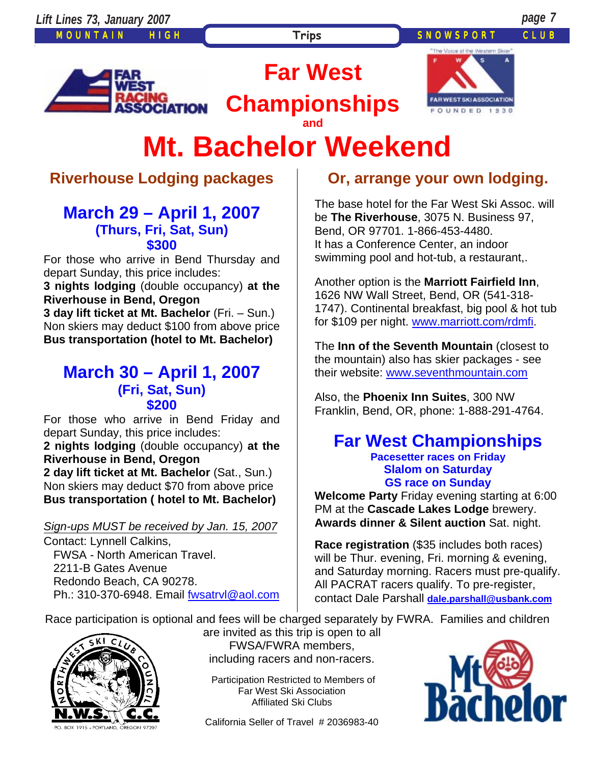Trips **SNOWSPORT** CLUB



**Far West** 

**Championships and** 



# **Mt. Bachelor Weekend**

## **Riverhouse Lodging packages**

#### **March 29 – April 1, 2007 (Thurs, Fri, Sat, Sun) \$300**

For those who arrive in Bend Thursday and depart Sunday, this price includes:

**3 nights lodging** (double occupancy) **at the Riverhouse in Bend, Oregon** 

**3 day lift ticket at Mt. Bachelor** (Fri. – Sun.) Non skiers may deduct \$100 from above price **Bus transportation (hotel to Mt. Bachelor)**

### **March 30 – April 1, 2007 (Fri, Sat, Sun) \$200**

For those who arrive in Bend Friday and depart Sunday, this price includes: **2 nights lodging** (double occupancy) **at the Riverhouse in Bend, Oregon 2 day lift ticket at Mt. Bachelor** (Sat., Sun.) Non skiers may deduct \$70 from above price

**Bus transportation ( hotel to Mt. Bachelor)** 

#### *Sign-ups MUST be received by Jan. 15, 2007*

Contact: Lynnell Calkins, FWSA - North American Travel. 2211-B Gates Avenue Redondo Beach, CA 90278. Ph.: 310-370-6948. Email **fwsatryl@aol.com** 

## **Or, arrange your own lodging.**

The base hotel for the Far West Ski Assoc. will be **The Riverhouse**, 3075 N. Business 97, Bend, OR 97701. 1-866-453-4480. It has a Conference Center, an indoor swimming pool and hot-tub, a restaurant,.

Another option is the **Marriott Fairfield Inn**, 1626 NW Wall Street, Bend, OR (541-318- 1747). Continental breakfast, big pool & hot tub for \$109 per night. www.marriott.com/rdmfi.

The **Inn of the Seventh Mountain** (closest to the mountain) also has skier packages - see their website: www.seventhmountain.com

Also, the **Phoenix Inn Suites**, 300 NW Franklin, Bend, OR, phone: 1-888-291-4764.

#### **Far West Championships Pacesetter races on Friday Slalom on Saturday**

#### **GS race on Sunday**

**Welcome Party** Friday evening starting at 6:00 PM at the **Cascade Lakes Lodge** brewery. **Awards dinner & Silent auction** Sat. night.

**Race registration** (\$35 includes both races) will be Thur. evening, Fri. morning & evening, and Saturday morning. Racers must pre-qualify. All PACRAT racers qualify. To pre-register, contact Dale Parshall **dale.parshall@usbank.com**

Race participation is optional and fees will be charged separately by FWRA. Families and children



1915 - PORTLAND, OREGON 9720

are invited as this trip is open to all FWSA/FWRA members, including racers and non-racers.

Participation Restricted to Members of Far West Ski Association Affiliated Ski Clubs

California Seller of Travel # 2036983-40

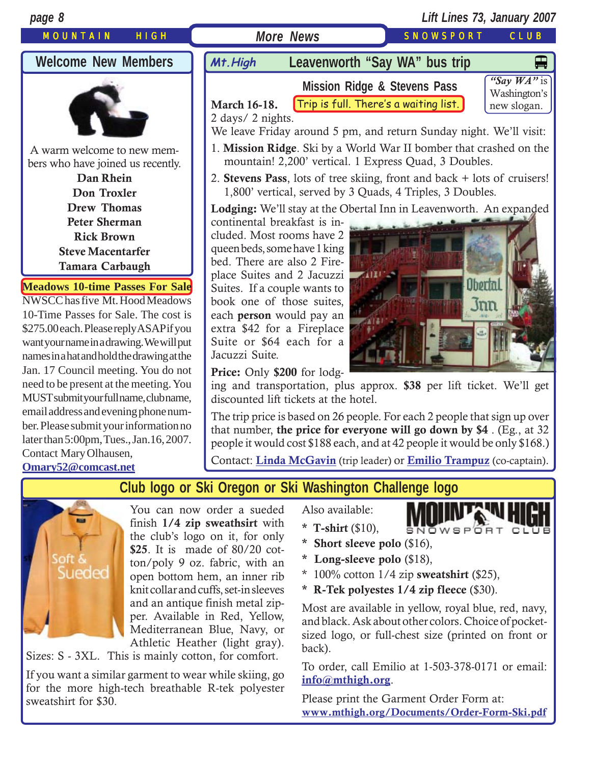



You can now order a sueded finish **1/4 zip sweathsirt** with the club's logo on it, for only **\$25**. It is made of 80/20 cotton/poly 9 oz. fabric, with an open bottom hem, an inner rib knit collar and cuffs, set-in sleeves and an antique finish metal zipper. Available in Red, Yellow, Mediterranean Blue, Navy, or Athletic Heather (light gray).

Sizes: S - 3XL. This is mainly cotton, for comfort.

If you want a similar garment to wear while skiing, go for the more high-tech breathable R-tek polyester sweatshirt for \$30.

Also available:

- SNOWSPORT CLUB
- **\* T-shirt** (\$10),
- **\* Short sleeve polo** (\$16),
- **\* Long-sleeve polo** (\$18),
- \* 100% cotton 1/4 zip **sweatshirt** (\$25),
- **\* R-Tek polyestes 1/4 zip fleece** (\$30).

Most are available in yellow, royal blue, red, navy, and black. Ask about other colors. Choice of pocketsized logo, or full-chest size (printed on front or back).

To order, call Emilio at 1-503-378-0171 or email: **[info@mthigh.org](mailto:info@mthigh.org)**.

Please print the Garment Order Form at: **[www.mthigh.org/Documents/Order-Form-Ski.pdf](http://www.mthigh.org/Documents/Order-Form-Ski.pdf)**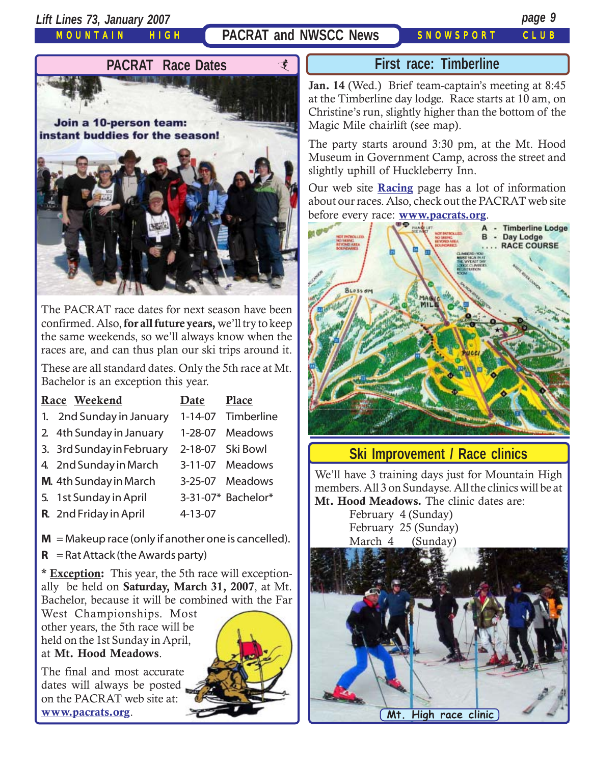*Lift Lines 73, January 2007 page 9*

MOUNTAIN HIGH

### **PACRAT and NWSCC News** SNOWSPORT CLUB



The PACRAT race dates for next season have been confirmed. Also, **for all future years,** we'll try to keep the same weekends, so we'll always know when the races are, and can thus plan our ski trips around it.

These are all standard dates. Only the 5th race at Mt. Bachelor is an exception this year.

| Race Weekend                                                                                                                                                                                                                                                                                                                                                                                       | Date    | Place              |
|----------------------------------------------------------------------------------------------------------------------------------------------------------------------------------------------------------------------------------------------------------------------------------------------------------------------------------------------------------------------------------------------------|---------|--------------------|
| 1. 2nd Sunday in January                                                                                                                                                                                                                                                                                                                                                                           |         | 1-14-07 Timberline |
| 2 4th Sunday in January                                                                                                                                                                                                                                                                                                                                                                            |         | 1-28-07 Meadows    |
| 3. 3rd Sunday in February                                                                                                                                                                                                                                                                                                                                                                          |         | 2-18-07 Ski Bowl   |
| 4. 2nd Sunday in March                                                                                                                                                                                                                                                                                                                                                                             |         | 3-11-07 Meadows    |
| M. 4th Sunday in March                                                                                                                                                                                                                                                                                                                                                                             |         | 3-25-07 Meadows    |
| 5. 1st Sunday in April                                                                                                                                                                                                                                                                                                                                                                             |         | 3-31-07* Bachelor* |
| R. 2nd Friday in April                                                                                                                                                                                                                                                                                                                                                                             | 4-13-07 |                    |
| $M =$ Makeup race (only if another one is cancelled).<br>$\mathbf{D}$ , $\mathbf{A}$ , $\mathbf{I}$ , $\mathbf{A}$ , $\mathbf{I}$ , $\mathbf{A}$ , $\mathbf{I}$ , $\mathbf{A}$ , $\mathbf{A}$ , $\mathbf{A}$ , $\mathbf{A}$ , $\mathbf{A}$ , $\mathbf{A}$ , $\mathbf{A}$ , $\mathbf{A}$ , $\mathbf{A}$ , $\mathbf{A}$ , $\mathbf{A}$ , $\mathbf{A}$ , $\mathbf{A}$ , $\mathbf{A}$ , $\mathbf{A}$ , |         |                    |

 $R =$ Rat Attack (the Awards party)

**\* Exception:** This year, the 5th race will exceptionally be held on **Saturday, March 31, 2007**, at Mt. Bachelor, because it will be combined with the Far

West Championships. Most other years, the 5th race will be held on the 1st Sunday in April, at **Mt. Hood Meadows**.

The final and most accurate dates will always be posted on the PACRAT web site at: **[www.pacrats.org](http://www.pacrats.org/)**.



#### **First race: Timberline**

**Jan. 14** (Wed.) Brief team-captain's meeting at 8:45 at the Timberline day lodge. Race starts at 10 am, on Christine's run, slightly higher than the bottom of the Magic Mile chairlift (see map).

The party starts around 3:30 pm, at the Mt. Hood Museum in Government Camp, across the street and slightly uphill of Huckleberry Inn.

Our web site **[Racing](http://www.mthigh.org/Racing.htm)** page has a lot of information about our races. Also, check out the PACRAT web site before every race: **[www.pacrats.org](http://www.pacrats.org/)**.



#### **Ski Improvement / Race clinics**

We'll have 3 training days just for Mountain High members. All 3 on Sundayse. All the clinics will be at **Mt. Hood Meadows.** The clinic dates are:

> February 4 (Sunday) February 25 (Sunday) March 4 (Sunday)

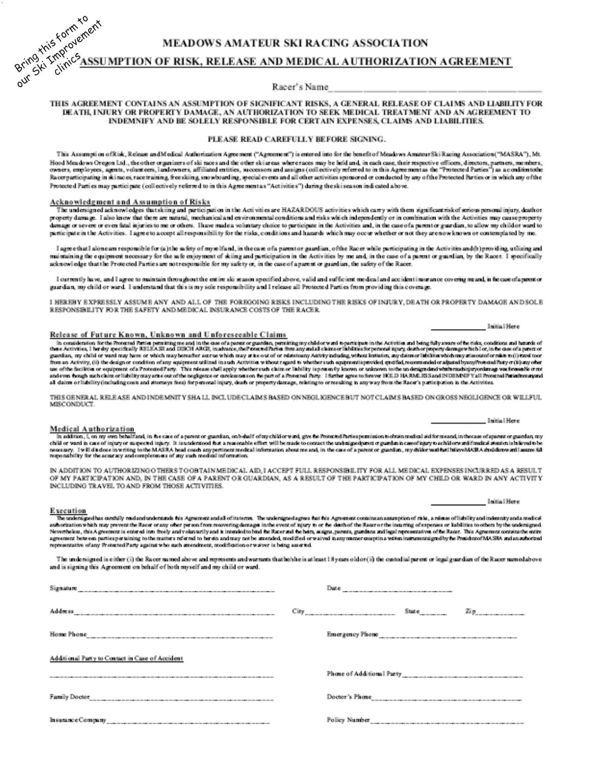

Racer's Name

#### THIS AGREEMENT CONTAINS AN ASSUMPTION OF SIGNIFICANT RISKS, A GENERAL RELEASE OF CLAIMS AND LIABILITY FOR DEATH, INJURY OR PROPERTY DAMAGE, AN AUTHORIZATION TO SEEK MEDICAL TREATMENT AND AN AGREEMENT TO INDEMNIFY AND BE SOLELY RESPONSIBLE FOR CERTAIN EXPENSES, CLAIMS AND LIABILITIES.

#### PLEASE READ CAREFULLY BEFORE SIGNING.

This Assumption of Risk, Release and Medical Authorization Agreement ("Agreement") is entered into for the benefit of Meadows AmateurSki Racing Association ("MASRA"), Mt. Hood Meadows Oregon Ltd., the other organizers of ski mees and the other ski areas where races may be held and, in each case, their respective officers, directors, partners, members, owners, employees, agents, volunt eers, landowners, affiliated entities, successors and assigns (collectively referred to in this Agreement as the "Protected Parties") as a conditiontshe Racerparticipating in skinaces race training, free skiing, snowboarding, special events and all other activities sponsored or conducted by any of the Protected Parties or in which any of the Protected Parti es may participate (collectively referred to in this Agreement as "Activities") during the ski season indicated above.

#### Acknowledgment and Assumption of Risks

The undersigned acknowledges that skiing and participation in the Activities are HAZARDOUS activities which carry with them significant risk of serious personal injury, death or property damage. I also know that there are natural, mechanical and environmental conditions and risks which independently or in combination with the Activities may cause property durings or severe or even fital injuries to me or others. Thave made a voluntary choice to participate in the Activities and, in the case of a parent or guardian, to allow my child or ward to participate in the Activities. I agree to accept all responsibility for the risks, conditions and hazards which may occur whether or not they are now known or contemplated by me.

I agree that I alone am responsible for (a) the safety of myselfand, in the case of a parent or guardian, of the Racer while participating in the Activities and (b) providing, utilizing and maintaining the equipment necessary for the safe enjoyment of skiing and participation in the Activities by me and, in the case of a parent or guardian, by the Racer. I specifically acknowledge that the Protected Parties are not responsible for my safety or, in the case of aparent or guardian, the safety of the Racer.

I currently have, and I agree to maintain throughout the entire ski season specified above, valid and sufficient medical and accident insurance covering meand, in the case of a premor guardian, my child or ward. I understand that this is my sole responsibility and I release all Protected Parties from providing this coverage.

I HEREBY EXPRESSLY ASSUME ANY AND ALL OF THE FOREGOING RISKS INCLUDING THE RISKS OF INJURY, DEATH OR PROPERTY DAMAGE AND SOLE RESPONSIBILITY FOR THE SAFETY AND MEDICAL INSURANCE COSTS OF THE RACER.

#### Release of Future Known, Unknown and Unforeseeable Claims

In consideration for the Protocted Partia permitting meand in the case of a parent or guardian, permitting my child or ward to participate in the Activities atd being fully aware of fue title, conditions and hereaft of the guardian, my child or ward may have or which may benufier agrees which may arise out of or ndateony Activity indusing without installer, my claim or libition which may attenuate or ndates in ()) two line from an Activity, (ii) the design or condition of any equipment utilized in such Activities without regard to whether such equipments provided gradial, recommended or adjusted byany/from and Pasty or (ii) any other use of the facilities or equipment of a Protected Party. This release shall apply whether such claim or liability is presently known to takenous to the underigended whith machinity you freewable or ne and even from the age all daims or liability (including costs and attorneys fees) for personal injury, death or property damage, relating to or resulting in any way from the Racer's participation in the Activities.

THIS GENERAL RELEASE AND INDEMNITY SHALL INCLUDECLAIMS BASED ON NEGLIGENCE BUT NOT CLAIMS BASED ON GROSS NEGLIGENCE OR WILLFUL MISCONDUCT

#### **Medical Authorization**

In addition, I, on my own behalf and, in the case of a parent or guardian, on behalf of my child or ward, give the Protocted Partica pennission to obtain medical aid for meand, in the case of aparent or guardan my child or ward in case of injury or supered injury. It is understood that a reasonable effect will be made to contact the undergodynest or guardan in case of jay to achieve and indices a source of a part of guardian in case

IN ADDITION TO AUTHORIZING OTHERS TO ORTAIN MEDICAL AID, LACCEPT FULL RESPONSIBILITY FOR ALL MEDICAL EXPENSES INCURRED AS A RESULT OF MY PARTICIPATION AND, IN THE CASE OF A PARENT OR GUARDIAN, AS A RESULT OF THE PARTICIPATION OF MY CHILD OR WARD IN ANY ACTIVITY INCLUDING TRAVEL TO AND FROM THOSE ACTIVITIES.

Initial Here

Initial Here

Initial Here

#### Execution

The undersigned has carefully packed understands this Agreement and all of its terms. The undersigned agrees that his Agreement contains assumption of this, a release of liability and independing an edia medical authorization which may prevent the Racer or any other person from recovering damages in the event of injury to or the desth of the Racer or the incurring of expenses or labilities to others by the undersigned. Neverthelem, this Agreement is entered into theely and volunterily and it intended to build the Recent of he have, magne, parents gurdine and legal representative of he Recent This Agreement contains the entire definition representative of any Protected Party against who such amendment, modification or waiver is being asserted.

The undersigned is either (i) the Racer named above and represents and warrants that he/she is at least 18 years old or (ii) the custodial parent or legal guardian of the Racer named above and is signing this Agreement on behalf of both myself and my child or ward.

| Signature                                       | Dute                                            |  |  |
|-------------------------------------------------|-------------------------------------------------|--|--|
| <b>Address</b>                                  | State $\overline{zp}$<br>---------------------- |  |  |
| Home Phone                                      | Emergency Phone                                 |  |  |
| Additional Party to Contact in Case of Accident |                                                 |  |  |
|                                                 | Phone of Additional Party                       |  |  |
|                                                 |                                                 |  |  |
| InsuranceCompany                                |                                                 |  |  |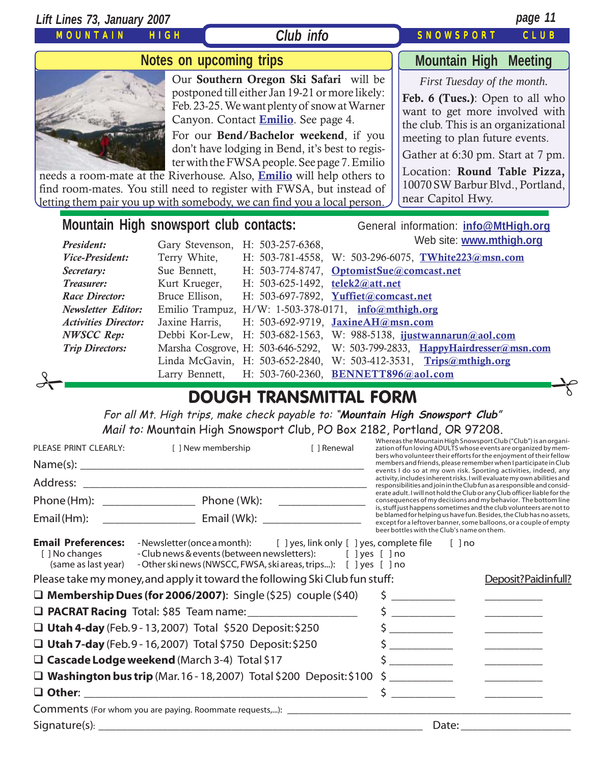#### MOUNTAIN HIGH *Lift Lines 73, January 2007 page 11* SNOWSPORT CLUB **Mountain High snowsport club contacts:** General information: *[info@MtHigh.org](mailto:info@MtHigh.org) President:* Gary Stevenson, H: 503-257-6368, *Vice-President:* Terry White, H: 503-781-4558, W: 503-296-6075, **[TWhite223@msn.com](mailto:TWhite223@msn.com)** *Secretary:* Sue Bennett, H: 503-774-8747, **[OptomistSue@comcast.net](mailto:OptomistSue@comcast.net)** *Treasurer:* Kurt Krueger, H: 503-625-1492, **[telek2@att.net](mailto:telek2@att.net)** *Race Director:* Bruce Ellison, H: 503-697-7892, **[Yuffiet@comcast.net](mailto:Yuffiet@comcast.net) Mountain High Meeting** *First Tuesday of the month.* **Feb. 6 (Tues.)**: Open to all who want to get more involved with the club. This is an organizational meeting to plan future events. Gather at 6:30 pm. Start at 7 pm. Location: **Round Table Pizza,** 10070 SW Barbur Blvd., Portland, near Capitol Hwy. **Notes on upcoming trips** Our **Southern Oregon Ski Safari** will be postponed till either Jan 19-21 or more likely: Feb. 23-25. We want plenty of snow at Warner Canyon. Contact **[Emilio](mailto:Emilio2000@earthlink.net)**. See page 4. For our **Bend/Bachelor weekend**, if you don't have lodging in Bend, it's best to register with the FWSA people. See page 7. Emilio needs a room-mate at the Riverhouse. Also, **[Emilio](mailto:Emilio2000@earthlink.net)** will help others to find room-mates. You still need to register with FWSA, but instead of letting them pair you up with somebody, we can find you a local person. *Club info* Web site: **[www.mthigh.org](http://www.mthigh.org/)**

*NWSCC Rep:* Debbi Kor-Lew, H: 503-682-1563, W: 988-5138, **[ijustwannarun@aol.com](mailto:Ijustwannarun@aol.com)** *Trip Directors:* Marsha Cosgrove, H: 503-646-5292, W: 503-799-2833, **[HappyHairdresser@msn.com](mailto:HappyHairdresser@msn.com)** Linda McGavin, H: 503-652-2840, W: 503-412-3531, **[Trips@mthigh.org](mailto:Trips@mthigh.org)** Larry Bennett, H: 503-760-2360, **[BENNETT896@aol.com](mailto:BENNETT896@aol.com)** 

*Newsletter Editor:* Emilio Trampuz, H/W: 1-503-378-0171, **[info@mthigh.org](mailto:info@mthigh.org)** *Activities Director:* Jaxine Harris, H: 503-692-9719, **[JaxineAH@msn.com](mailto:JaxineAH@msn.com)**

### DOUGH TRANSMITTAL FORM

For all Mt. High trips, make check payable to: "**Mountain High Snowsport Club**" Mail to: Mountain High Snowsport Club, PO Box 2182, Portland, OR 97208.

| PLEASE PRINT CLEARLY:                                              | [ ] New membership                                                                                                                                                                                      | [ ] Renewal                                                                                                                                                                                         | Whereas the Mountain High Snowsport Club ("Club") is an organi-<br>zation of fun loving ADULTS whose events are organized by mem-<br>bers who volunteer their efforts for the enjoyment of their fellow                                                       |  |  |
|--------------------------------------------------------------------|---------------------------------------------------------------------------------------------------------------------------------------------------------------------------------------------------------|-----------------------------------------------------------------------------------------------------------------------------------------------------------------------------------------------------|---------------------------------------------------------------------------------------------------------------------------------------------------------------------------------------------------------------------------------------------------------------|--|--|
|                                                                    |                                                                                                                                                                                                         |                                                                                                                                                                                                     | members and friends, please remember when I participate in Club<br>events I do so at my own risk. Sporting activities, indeed, any                                                                                                                            |  |  |
|                                                                    |                                                                                                                                                                                                         |                                                                                                                                                                                                     | activity, includes inherent risks. I will evaluate my own abilities and<br>responsibilities and join in the Club fun as a responsible and consid-                                                                                                             |  |  |
| Phone (Hm): Phone (Wk):                                            |                                                                                                                                                                                                         |                                                                                                                                                                                                     | erate adult. I will not hold the Club or any Club officer liable for the<br>consequences of my decisions and my behavior. The bottom line                                                                                                                     |  |  |
| Email (Hm):                                                        |                                                                                                                                                                                                         |                                                                                                                                                                                                     | is, stuff just happens sometimes and the club volunteers are not to<br>be blamed for helping us have fun. Besides, the Club has no assets,<br>except for a leftover banner, some balloons, or a couple of empty<br>beer bottles with the Club's name on them. |  |  |
| <b>Email Preferences:</b><br>[ ] No changes<br>(same as last year) | -Newsletter (once a month): [ ] yes, link only [ ] yes, complete file<br>- Club news & events (between newsletters): [ ] yes [ ] no<br>- Other ski news (NWSCC, FWSA, ski areas, trips): [ ] yes [ ] no |                                                                                                                                                                                                     | [ ] no                                                                                                                                                                                                                                                        |  |  |
|                                                                    | Please take my money, and apply it toward the following Ski Club fun stuff:                                                                                                                             |                                                                                                                                                                                                     | Deposit?Paidinfull?                                                                                                                                                                                                                                           |  |  |
|                                                                    | $\Box$ Membership Dues (for 2006/2007): Single (\$25) couple (\$40)                                                                                                                                     |                                                                                                                                                                                                     |                                                                                                                                                                                                                                                               |  |  |
|                                                                    | <b>D PACRAT Racing</b> Total: \$85 Team name: ____________________                                                                                                                                      | $\frac{1}{5}$                                                                                                                                                                                       |                                                                                                                                                                                                                                                               |  |  |
|                                                                    | □ Utah 4-day (Feb.9 - 13, 2007) Total \$520 Deposit: \$250                                                                                                                                              | $\frac{1}{2}$                                                                                                                                                                                       |                                                                                                                                                                                                                                                               |  |  |
|                                                                    | $\Box$ Utah 7-day (Feb. 9 - 16, 2007) Total \$750 Deposit: \$250                                                                                                                                        | $\label{eq:2} \mathcal{L} = \left\{ \begin{aligned} \mathcal{L}^{\text{max}}_{\text{max}} & \mathcal{L}^{\text{max}}_{\text{max}} \leq \mathcal{L}^{\text{max}}_{\text{max}} \end{aligned} \right.$ |                                                                                                                                                                                                                                                               |  |  |
|                                                                    | $\Box$ Cascade Lodge weekend (March 3-4) Total \$17                                                                                                                                                     | <u> 1990 - Jan Barnett, politik e</u>                                                                                                                                                               |                                                                                                                                                                                                                                                               |  |  |
|                                                                    | $\Box$ Washington bus trip (Mar. 16 - 18, 2007) Total \$200 Deposit: \$100                                                                                                                              |                                                                                                                                                                                                     |                                                                                                                                                                                                                                                               |  |  |
|                                                                    |                                                                                                                                                                                                         |                                                                                                                                                                                                     |                                                                                                                                                                                                                                                               |  |  |
|                                                                    |                                                                                                                                                                                                         |                                                                                                                                                                                                     |                                                                                                                                                                                                                                                               |  |  |
| Signature(s): $\overline{\phantom{a}}$                             |                                                                                                                                                                                                         | Date:                                                                                                                                                                                               |                                                                                                                                                                                                                                                               |  |  |